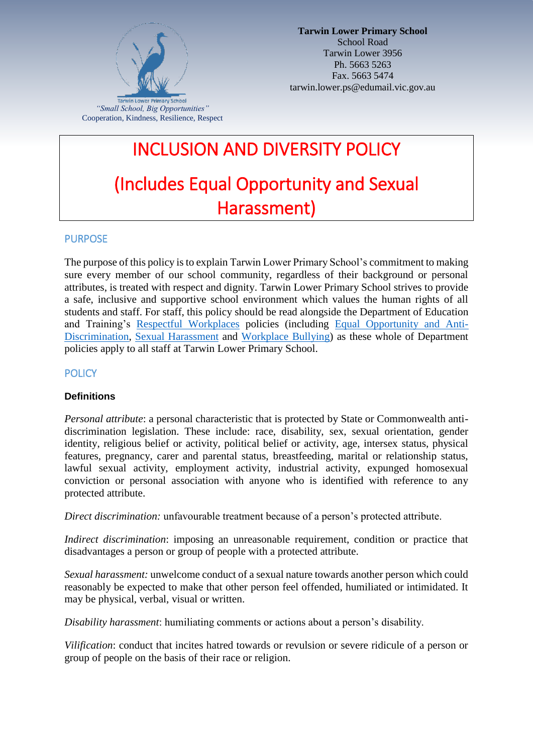

# INCLUSION AND DIVERSITY POLICY (Includes Equal Opportunity and Sexual Harassment)

# PURPOSE

The purpose of this policy is to explain Tarwin Lower Primary School's commitment to making sure every member of our school community, regardless of their background or personal attributes, is treated with respect and dignity. Tarwin Lower Primary School strives to provide a safe, inclusive and supportive school environment which values the human rights of all students and staff. For staff, this policy should be read alongside the Department of Education and Training's [Respectful Workplaces](https://www.education.vic.gov.au/hrweb/divequity/Pages/respect.aspx) policies (including [Equal Opportunity and Anti-](https://www.education.vic.gov.au/hrweb/divequity/Pages/default_eeo.aspx)[Discrimination,](https://www.education.vic.gov.au/hrweb/divequity/Pages/default_eeo.aspx) [Sexual Harassment](https://www.education.vic.gov.au/hrweb/divequity/Pages/SexualHarassment.aspx) and [Workplace Bullying\)](https://www.education.vic.gov.au/hrweb/safetyhw/Pages/workplacebullying.aspx) as these whole of Department policies apply to all staff at Tarwin Lower Primary School.

### **POLICY**

#### **Definitions**

*Personal attribute*: a personal characteristic that is protected by State or Commonwealth antidiscrimination legislation. These include: race, disability, sex, sexual orientation, gender identity, religious belief or activity, political belief or activity, age, intersex status, physical features, pregnancy, carer and parental status, breastfeeding, marital or relationship status, lawful sexual activity, employment activity, industrial activity, expunged homosexual conviction or personal association with anyone who is identified with reference to any protected attribute.

*Direct discrimination:* unfavourable treatment because of a person's protected attribute.

*Indirect discrimination*: imposing an unreasonable requirement, condition or practice that disadvantages a person or group of people with a protected attribute.

*Sexual harassment:* unwelcome conduct of a sexual nature towards another person which could reasonably be expected to make that other person feel offended, humiliated or intimidated. It may be physical, verbal, visual or written.

*Disability harassment*: humiliating comments or actions about a person's disability.

*Vilification*: conduct that incites hatred towards or revulsion or severe ridicule of a person or group of people on the basis of their race or religion.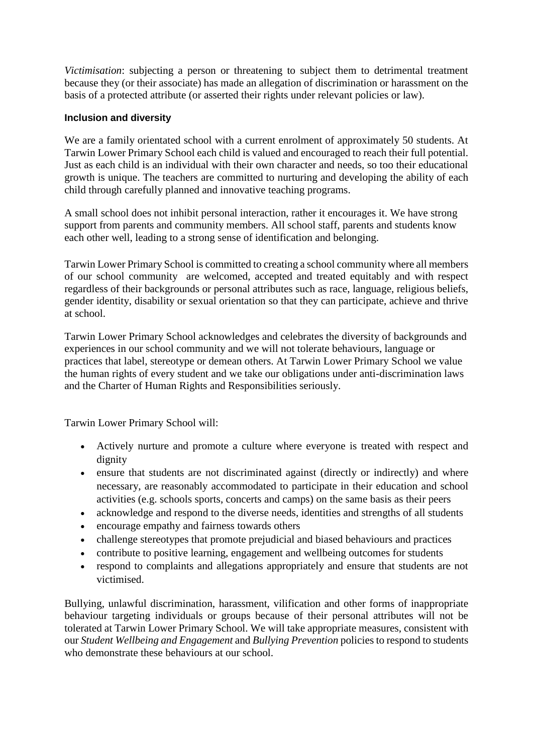*Victimisation*: subjecting a person or threatening to subject them to detrimental treatment because they (or their associate) has made an allegation of discrimination or harassment on the basis of a protected attribute (or asserted their rights under relevant policies or law).

#### **Inclusion and diversity**

We are a family orientated school with a current enrolment of approximately 50 students. At Tarwin Lower Primary School each child is valued and encouraged to reach their full potential. Just as each child is an individual with their own character and needs, so too their educational growth is unique. The teachers are committed to nurturing and developing the ability of each child through carefully planned and innovative teaching programs.

A small school does not inhibit personal interaction, rather it encourages it. We have strong support from parents and community members. All school staff, parents and students know each other well, leading to a strong sense of identification and belonging.

Tarwin Lower Primary School is committed to creating a school community where all members of our school community are welcomed, accepted and treated equitably and with respect regardless of their backgrounds or personal attributes such as race, language, religious beliefs, gender identity, disability or sexual orientation so that they can participate, achieve and thrive at school.

Tarwin Lower Primary School acknowledges and celebrates the diversity of backgrounds and experiences in our school community and we will not tolerate behaviours, language or practices that label, stereotype or demean others. At Tarwin Lower Primary School we value the human rights of every student and we take our obligations under anti-discrimination laws and the Charter of Human Rights and Responsibilities seriously.

Tarwin Lower Primary School will:

- Actively nurture and promote a culture where everyone is treated with respect and dignity
- ensure that students are not discriminated against (directly or indirectly) and where necessary, are reasonably accommodated to participate in their education and school activities (e.g. schools sports, concerts and camps) on the same basis as their peers
- acknowledge and respond to the diverse needs, identities and strengths of all students
- encourage empathy and fairness towards others
- challenge stereotypes that promote prejudicial and biased behaviours and practices
- contribute to positive learning, engagement and wellbeing outcomes for students
- respond to complaints and allegations appropriately and ensure that students are not victimised.

Bullying, unlawful discrimination, harassment, vilification and other forms of inappropriate behaviour targeting individuals or groups because of their personal attributes will not be tolerated at Tarwin Lower Primary School. We will take appropriate measures, consistent with our *Student Wellbeing and Engagement* and *Bullying Prevention* policies to respond to students who demonstrate these behaviours at our school.